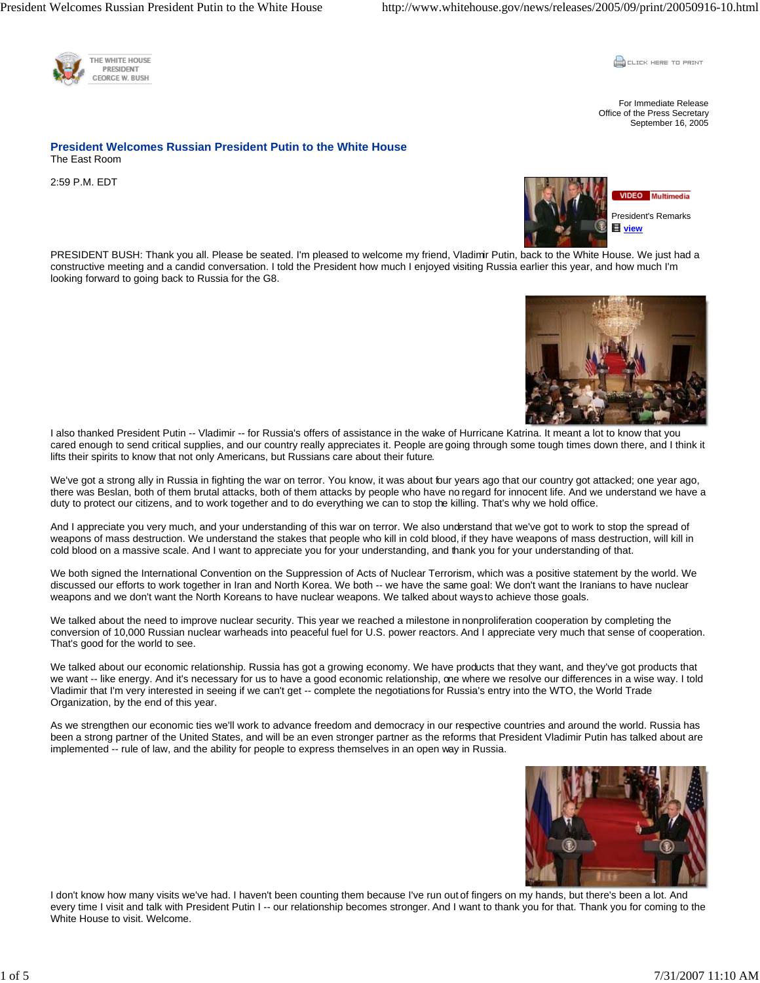

**CLICK HERE TO PRINT** 

For Immediate Release Office of the Press Secretary September 16, 2005

### **President Welcomes Russian President Putin to the White House**  The East Room

2:59 P.M. EDT



PRESIDENT BUSH: Thank you all. Please be seated. I'm pleased to welcome my friend, Vladimir Putin, back to the White House. We just had a constructive meeting and a candid conversation. I told the President how much I enjoyed visiting Russia earlier this year, and how much I'm looking forward to going back to Russia for the G8.



I also thanked President Putin -- Vladimir -- for Russia's offers of assistance in the wake of Hurricane Katrina. It meant a lot to know that you cared enough to send critical supplies, and our country really appreciates it. People are going through some tough times down there, and I think it lifts their spirits to know that not only Americans, but Russians care about their future.

We've got a strong ally in Russia in fighting the war on terror. You know, it was about four years ago that our country got attacked; one year ago, there was Beslan, both of them brutal attacks, both of them attacks by people who have no regard for innocent life. And we understand we have a duty to protect our citizens, and to work together and to do everything we can to stop the killing. That's why we hold office.

And I appreciate you very much, and your understanding of this war on terror. We also understand that we've got to work to stop the spread of weapons of mass destruction. We understand the stakes that people who kill in cold blood, if they have weapons of mass destruction, will kill in cold blood on a massive scale. And I want to appreciate you for your understanding, and thank you for your understanding of that.

We both signed the International Convention on the Suppression of Acts of Nuclear Terrorism, which was a positive statement by the world. We discussed our efforts to work together in Iran and North Korea. We both -- we have the same goal: We don't want the Iranians to have nuclear weapons and we don't want the North Koreans to have nuclear weapons. We talked about ways to achieve those goals.

We talked about the need to improve nuclear security. This year we reached a milestone in nonproliferation cooperation by completing the conversion of 10,000 Russian nuclear warheads into peaceful fuel for U.S. power reactors. And I appreciate very much that sense of cooperation. That's good for the world to see.

We talked about our economic relationship. Russia has got a growing economy. We have products that they want, and they've got products that we want -- like energy. And it's necessary for us to have a good economic relationship, one where we resolve our differences in a wise way. I told Vladimir that I'm very interested in seeing if we can't get -- complete the negotiations for Russia's entry into the WTO, the World Trade Organization, by the end of this year.

As we strengthen our economic ties we'll work to advance freedom and democracy in our respective countries and around the world. Russia has been a strong partner of the United States, and will be an even stronger partner as the reforms that President Vladimir Putin has talked about are implemented -- rule of law, and the ability for people to express themselves in an open way in Russia.



I don't know how many visits we've had. I haven't been counting them because I've run out of fingers on my hands, but there's been a lot. And every time I visit and talk with President Putin I -- our relationship becomes stronger. And I want to thank you for that. Thank you for coming to the White House to visit. Welcome.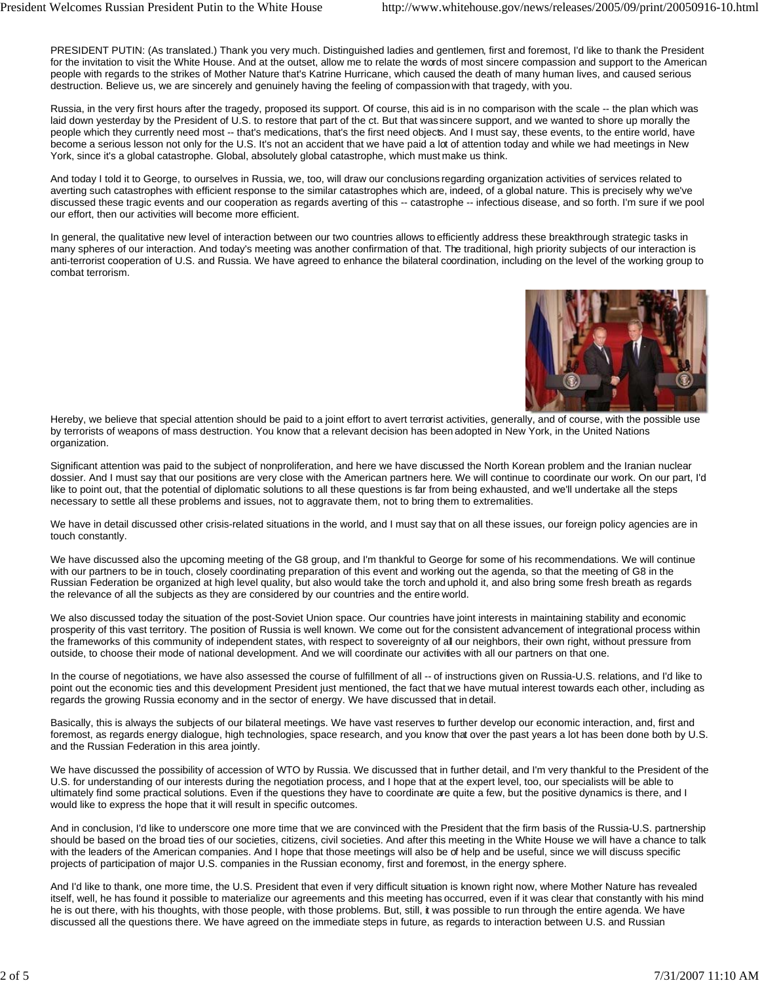PRESIDENT PUTIN: (As translated.) Thank you very much. Distinguished ladies and gentlemen, first and foremost, I'd like to thank the President for the invitation to visit the White House. And at the outset, allow me to relate the words of most sincere compassion and support to the American people with regards to the strikes of Mother Nature that's Katrine Hurricane, which caused the death of many human lives, and caused serious destruction. Believe us, we are sincerely and genuinely having the feeling of compassion with that tragedy, with you.

Russia, in the very first hours after the tragedy, proposed its support. Of course, this aid is in no comparison with the scale -- the plan which was laid down yesterday by the President of U.S. to restore that part of the ct. But that was sincere support, and we wanted to shore up morally the people which they currently need most -- that's medications, that's the first need objects. And I must say, these events, to the entire world, have become a serious lesson not only for the U.S. It's not an accident that we have paid a lot of attention today and while we had meetings in New York, since it's a global catastrophe. Global, absolutely global catastrophe, which must make us think.

And today I told it to George, to ourselves in Russia, we, too, will draw our conclusions regarding organization activities of services related to averting such catastrophes with efficient response to the similar catastrophes which are, indeed, of a global nature. This is precisely why we've discussed these tragic events and our cooperation as regards averting of this -- catastrophe -- infectious disease, and so forth. I'm sure if we pool our effort, then our activities will become more efficient.

In general, the qualitative new level of interaction between our two countries allows to efficiently address these breakthrough strategic tasks in many spheres of our interaction. And today's meeting was another confirmation of that. The traditional, high priority subjects of our interaction is anti-terrorist cooperation of U.S. and Russia. We have agreed to enhance the bilateral coordination, including on the level of the working group to combat terrorism.



Hereby, we believe that special attention should be paid to a joint effort to avert terrorist activities, generally, and of course, with the possible use by terrorists of weapons of mass destruction. You know that a relevant decision has been adopted in New York, in the United Nations organization.

Significant attention was paid to the subject of nonproliferation, and here we have discussed the North Korean problem and the Iranian nuclear dossier. And I must say that our positions are very close with the American partners here. We will continue to coordinate our work. On our part, I'd like to point out, that the potential of diplomatic solutions to all these questions is far from being exhausted, and we'll undertake all the steps necessary to settle all these problems and issues, not to aggravate them, not to bring them to extremalities.

We have in detail discussed other crisis-related situations in the world, and I must say that on all these issues, our foreign policy agencies are in touch constantly.

We have discussed also the upcoming meeting of the G8 group, and I'm thankful to George for some of his recommendations. We will continue with our partners to be in touch, closely coordinating preparation of this event and working out the agenda, so that the meeting of G8 in the Russian Federation be organized at high level quality, but also would take the torch and uphold it, and also bring some fresh breath as regards the relevance of all the subjects as they are considered by our countries and the entire world.

We also discussed today the situation of the post-Soviet Union space. Our countries have joint interests in maintaining stability and economic prosperity of this vast territory. The position of Russia is well known. We come out for the consistent advancement of integrational process within the frameworks of this community of independent states, with respect to sovereignty of all our neighbors, their own right, without pressure from outside, to choose their mode of national development. And we will coordinate our activities with all our partners on that one.

In the course of negotiations, we have also assessed the course of fulfillment of all -- of instructions given on Russia-U.S. relations, and I'd like to point out the economic ties and this development President just mentioned, the fact that we have mutual interest towards each other, including as regards the growing Russia economy and in the sector of energy. We have discussed that in detail.

Basically, this is always the subjects of our bilateral meetings. We have vast reserves to further develop our economic interaction, and, first and foremost, as regards energy dialogue, high technologies, space research, and you know that over the past years a lot has been done both by U.S. and the Russian Federation in this area jointly.

We have discussed the possibility of accession of WTO by Russia. We discussed that in further detail, and I'm very thankful to the President of the U.S. for understanding of our interests during the negotiation process, and I hope that at the expert level, too, our specialists will be able to ultimately find some practical solutions. Even if the questions they have to coordinate are quite a few, but the positive dynamics is there, and I would like to express the hope that it will result in specific outcomes.

And in conclusion, I'd like to underscore one more time that we are convinced with the President that the firm basis of the Russia-U.S. partnership should be based on the broad ties of our societies, citizens, civil societies. And after this meeting in the White House we will have a chance to talk with the leaders of the American companies. And I hope that those meetings will also be of help and be useful, since we will discuss specific projects of participation of major U.S. companies in the Russian economy, first and foremost, in the energy sphere.

And I'd like to thank, one more time, the U.S. President that even if very difficult situation is known right now, where Mother Nature has revealed itself, well, he has found it possible to materialize our agreements and this meeting has occurred, even if it was clear that constantly with his mind he is out there, with his thoughts, with those people, with those problems. But, still, it was possible to run through the entire agenda. We have discussed all the questions there. We have agreed on the immediate steps in future, as regards to interaction between U.S. and Russian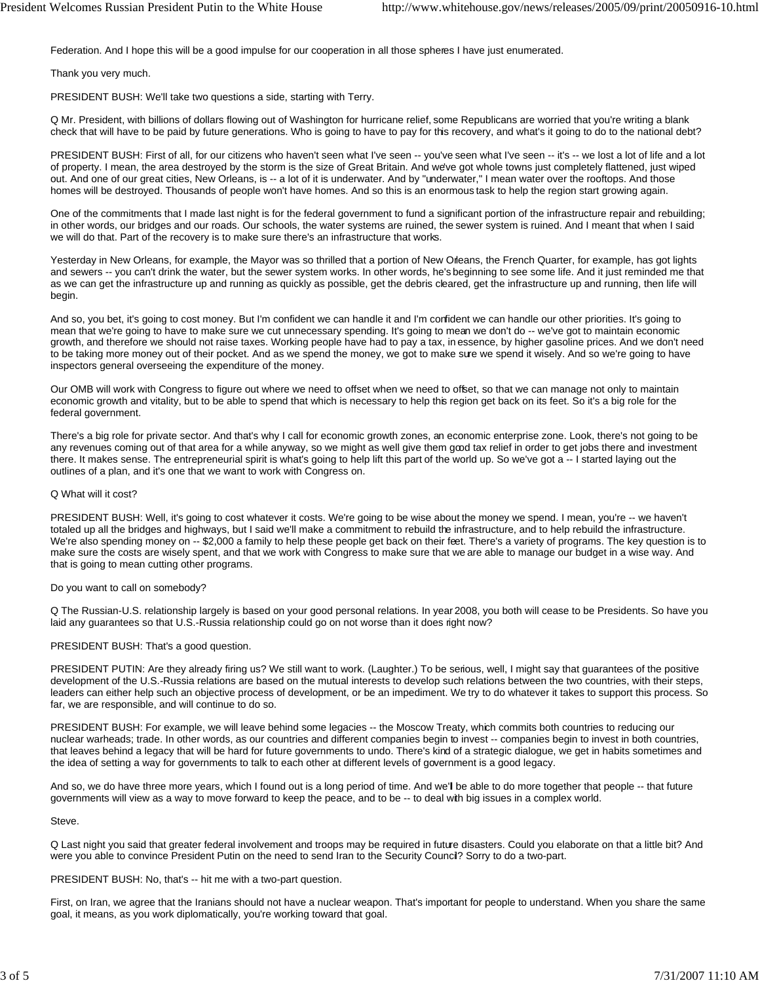Federation. And I hope this will be a good impulse for our cooperation in all those spheres I have just enumerated.

Thank you very much.

PRESIDENT BUSH: We'll take two questions a side, starting with Terry.

Q Mr. President, with billions of dollars flowing out of Washington for hurricane relief, some Republicans are worried that you're writing a blank check that will have to be paid by future generations. Who is going to have to pay for this recovery, and what's it going to do to the national debt?

PRESIDENT BUSH: First of all, for our citizens who haven't seen what I've seen -- you've seen what I've seen -- it's -- we lost a lot of life and a lot of property. I mean, the area destroyed by the storm is the size of Great Britain. And we've got whole towns just completely flattened, just wiped out. And one of our great cities, New Orleans, is -- a lot of it is underwater. And by "underwater," I mean water over the rooftops. And those homes will be destroyed. Thousands of people won't have homes. And so this is an enormous task to help the region start growing again.

One of the commitments that I made last night is for the federal government to fund a significant portion of the infrastructure repair and rebuilding; in other words, our bridges and our roads. Our schools, the water systems are ruined, the sewer system is ruined. And I meant that when I said we will do that. Part of the recovery is to make sure there's an infrastructure that works.

Yesterday in New Orleans, for example, the Mayor was so thrilled that a portion of New Orleans, the French Quarter, for example, has got lights and sewers -- you can't drink the water, but the sewer system works. In other words, he's beginning to see some life. And it just reminded me that as we can get the infrastructure up and running as quickly as possible, get the debris cleared, get the infrastructure up and running, then life will begin.

And so, you bet, it's going to cost money. But I'm confident we can handle it and I'm confident we can handle our other priorities. It's going to mean that we're going to have to make sure we cut unnecessary spending. It's going to mean we don't do -- we've got to maintain economic growth, and therefore we should not raise taxes. Working people have had to pay a tax, in essence, by higher gasoline prices. And we don't need to be taking more money out of their pocket. And as we spend the money, we got to make sure we spend it wisely. And so we're going to have inspectors general overseeing the expenditure of the money.

Our OMB will work with Congress to figure out where we need to offset when we need to offset, so that we can manage not only to maintain economic growth and vitality, but to be able to spend that which is necessary to help this region get back on its feet. So it's a big role for the federal government.

There's a big role for private sector. And that's why I call for economic growth zones, an economic enterprise zone. Look, there's not going to be any revenues coming out of that area for a while anyway, so we might as well give them good tax relief in order to get jobs there and investment there. It makes sense. The entrepreneurial spirit is what's going to help lift this part of the world up. So we've got a -- I started laying out the outlines of a plan, and it's one that we want to work with Congress on.

#### Q What will it cost?

PRESIDENT BUSH: Well, it's going to cost whatever it costs. We're going to be wise about the money we spend. I mean, you're -- we haven't totaled up all the bridges and highways, but I said we'll make a commitment to rebuild the infrastructure, and to help rebuild the infrastructure. We're also spending money on -- \$2,000 a family to help these people get back on their feet. There's a variety of programs. The key question is to make sure the costs are wisely spent, and that we work with Congress to make sure that we are able to manage our budget in a wise way. And that is going to mean cutting other programs.

### Do you want to call on somebody?

Q The Russian-U.S. relationship largely is based on your good personal relations. In year 2008, you both will cease to be Presidents. So have you laid any guarantees so that U.S.-Russia relationship could go on not worse than it does right now?

# PRESIDENT BUSH: That's a good question.

PRESIDENT PUTIN: Are they already firing us? We still want to work. (Laughter.) To be serious, well, I might say that guarantees of the positive development of the U.S.-Russia relations are based on the mutual interests to develop such relations between the two countries, with their steps, leaders can either help such an objective process of development, or be an impediment. We try to do whatever it takes to support this process. So far, we are responsible, and will continue to do so.

PRESIDENT BUSH: For example, we will leave behind some legacies -- the Moscow Treaty, which commits both countries to reducing our nuclear warheads; trade. In other words, as our countries and different companies begin to invest -- companies begin to invest in both countries, that leaves behind a legacy that will be hard for future governments to undo. There's kind of a strategic dialogue, we get in habits sometimes and the idea of setting a way for governments to talk to each other at different levels of government is a good legacy.

And so, we do have three more years, which I found out is a long period of time. And we'l be able to do more together that people -- that future governments will view as a way to move forward to keep the peace, and to be -- to deal with big issues in a complex world.

Steve.

Q Last night you said that greater federal involvement and troops may be required in future disasters. Could you elaborate on that a little bit? And were you able to convince President Putin on the need to send Iran to the Security Counci? Sorry to do a two-part.

PRESIDENT BUSH: No, that's -- hit me with a two-part question.

First, on Iran, we agree that the Iranians should not have a nuclear weapon. That's important for people to understand. When you share the same goal, it means, as you work diplomatically, you're working toward that goal.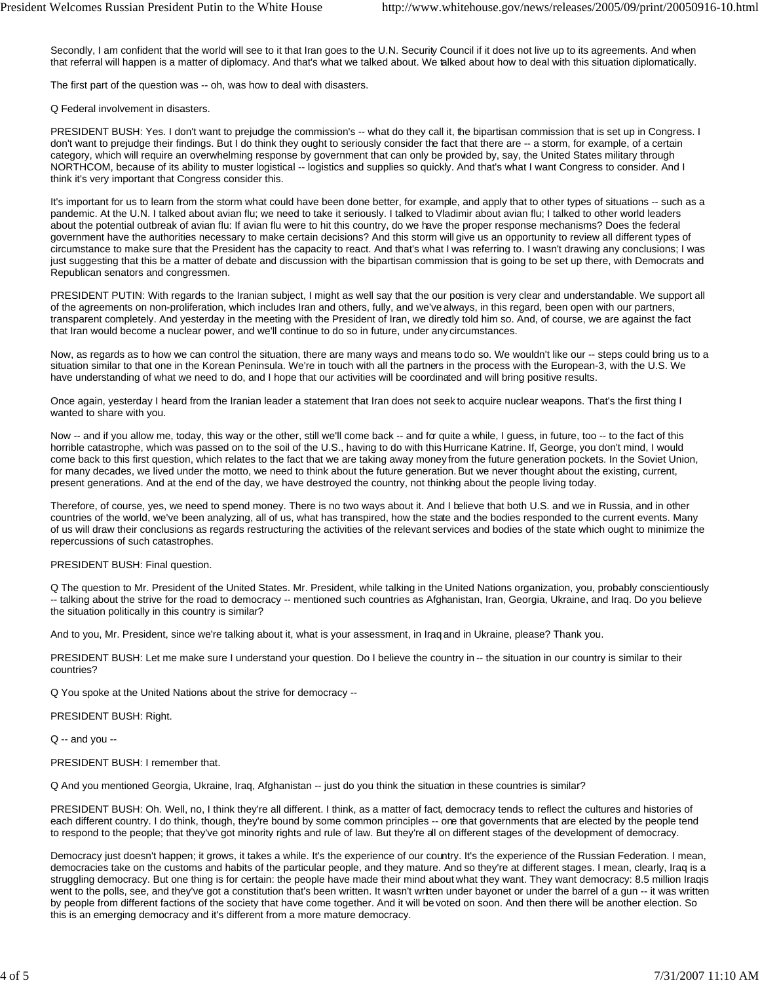Secondly, I am confident that the world will see to it that Iran goes to the U.N. Security Council if it does not live up to its agreements. And when that referral will happen is a matter of diplomacy. And that's what we talked about. We talked about how to deal with this situation diplomatically.

The first part of the question was -- oh, was how to deal with disasters.

Q Federal involvement in disasters.

PRESIDENT BUSH: Yes. I don't want to prejudge the commission's -- what do they call it, the bipartisan commission that is set up in Congress. I don't want to prejudge their findings. But I do think they ought to seriously consider the fact that there are -- a storm, for example, of a certain category, which will require an overwhelming response by government that can only be provided by, say, the United States military through NORTHCOM, because of its ability to muster logistical -- logistics and supplies so quickly. And that's what I want Congress to consider. And I think it's very important that Congress consider this.

It's important for us to learn from the storm what could have been done better, for example, and apply that to other types of situations -- such as a pandemic. At the U.N. I talked about avian flu; we need to take it seriously. I talked to Vladimir about avian flu; I talked to other world leaders about the potential outbreak of avian flu: If avian flu were to hit this country, do we have the proper response mechanisms? Does the federal government have the authorities necessary to make certain decisions? And this storm will give us an opportunity to review all different types of circumstance to make sure that the President has the capacity to react. And that's what I was referring to. I wasn't drawing any conclusions; I was just suggesting that this be a matter of debate and discussion with the bipartisan commission that is going to be set up there, with Democrats and Republican senators and congressmen.

PRESIDENT PUTIN: With regards to the Iranian subject, I might as well say that the our position is very clear and understandable. We support all of the agreements on non-proliferation, which includes Iran and others, fully, and we've always, in this regard, been open with our partners, transparent completely. And yesterday in the meeting with the President of Iran, we directly told him so. And, of course, we are against the fact that Iran would become a nuclear power, and we'll continue to do so in future, under any circumstances.

Now, as regards as to how we can control the situation, there are many ways and means to do so. We wouldn't like our -- steps could bring us to a situation similar to that one in the Korean Peninsula. We're in touch with all the partners in the process with the European-3, with the U.S. We have understanding of what we need to do, and I hope that our activities will be coordinated and will bring positive results.

Once again, yesterday I heard from the Iranian leader a statement that Iran does not seek to acquire nuclear weapons. That's the first thing I wanted to share with you.

Now -- and if you allow me, today, this way or the other, still we'll come back -- and for quite a while, I guess, in future, too -- to the fact of this horrible catastrophe, which was passed on to the soil of the U.S., having to do with this Hurricane Katrine. If, George, you don't mind, I would come back to this first question, which relates to the fact that we are taking away money from the future generation pockets. In the Soviet Union, for many decades, we lived under the motto, we need to think about the future generation. But we never thought about the existing, current, present generations. And at the end of the day, we have destroyed the country, not thinking about the people living today.

Therefore, of course, yes, we need to spend money. There is no two ways about it. And I believe that both U.S. and we in Russia, and in other countries of the world, we've been analyzing, all of us, what has transpired, how the state and the bodies responded to the current events. Many of us will draw their conclusions as regards restructuring the activities of the relevant services and bodies of the state which ought to minimize the repercussions of such catastrophes.

# PRESIDENT BUSH: Final question.

Q The question to Mr. President of the United States. Mr. President, while talking in the United Nations organization, you, probably conscientiously -- talking about the strive for the road to democracy -- mentioned such countries as Afghanistan, Iran, Georgia, Ukraine, and Iraq. Do you believe the situation politically in this country is similar?

And to you, Mr. President, since we're talking about it, what is your assessment, in Iraq and in Ukraine, please? Thank you.

PRESIDENT BUSH: Let me make sure I understand your question. Do I believe the country in -- the situation in our country is similar to their countries?

Q You spoke at the United Nations about the strive for democracy --

PRESIDENT BUSH: Right.

 $Q -$  and you  $-$ 

PRESIDENT BUSH: I remember that.

Q And you mentioned Georgia, Ukraine, Iraq, Afghanistan -- just do you think the situation in these countries is similar?

PRESIDENT BUSH: Oh. Well, no, I think they're all different. I think, as a matter of fact, democracy tends to reflect the cultures and histories of each different country. I do think, though, they're bound by some common principles -- one that governments that are elected by the people tend to respond to the people; that they've got minority rights and rule of law. But they're all on different stages of the development of democracy.

Democracy just doesn't happen; it grows, it takes a while. It's the experience of our country. It's the experience of the Russian Federation. I mean, democracies take on the customs and habits of the particular people, and they mature. And so they're at different stages. I mean, clearly, Iraq is a struggling democracy. But one thing is for certain: the people have made their mind about what they want. They want democracy: 8.5 million Iraqis went to the polls, see, and they've got a constitution that's been written. It wasn't written under bayonet or under the barrel of a gun -- it was written by people from different factions of the society that have come together. And it will be voted on soon. And then there will be another election. So this is an emerging democracy and it's different from a more mature democracy.